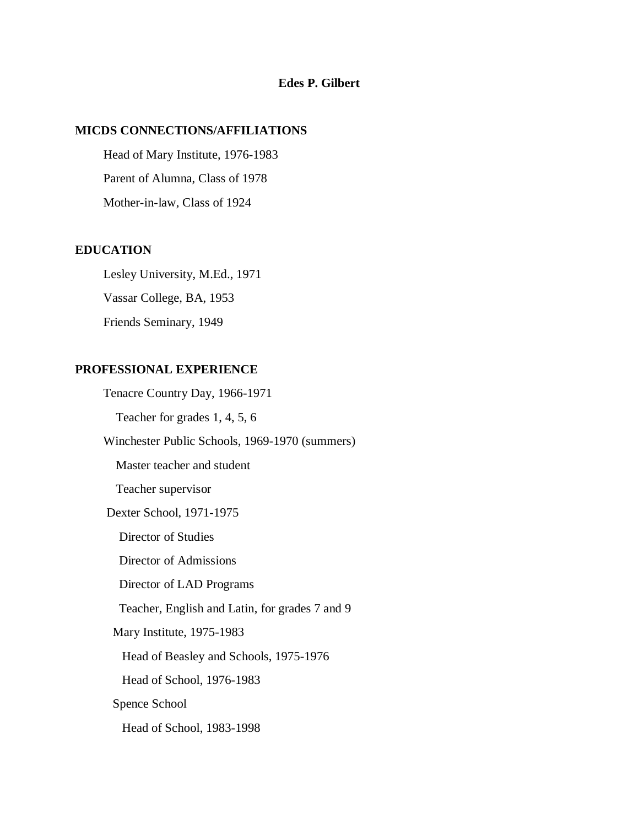# **Edes P. Gilbert**

#### **MICDS CONNECTIONS/AFFILIATIONS**

 Head of Mary Institute, 1976-1983 Parent of Alumna, Class of 1978 Mother-in-law, Class of 1924

### **EDUCATION**

 Lesley University, M.Ed., 1971 Vassar College, BA, 1953 Friends Seminary, 1949

# **PROFESSIONAL EXPERIENCE**

 Tenacre Country Day, 1966-1971 Teacher for grades 1, 4, 5, 6 Winchester Public Schools, 1969-1970 (summers) Master teacher and student Teacher supervisor Dexter School, 1971-1975 Director of Studies Director of Admissions Director of LAD Programs Teacher, English and Latin, for grades 7 and 9 Mary Institute, 1975-1983 Head of Beasley and Schools, 1975-1976 Head of School, 1976-1983 Spence School Head of School, 1983-1998